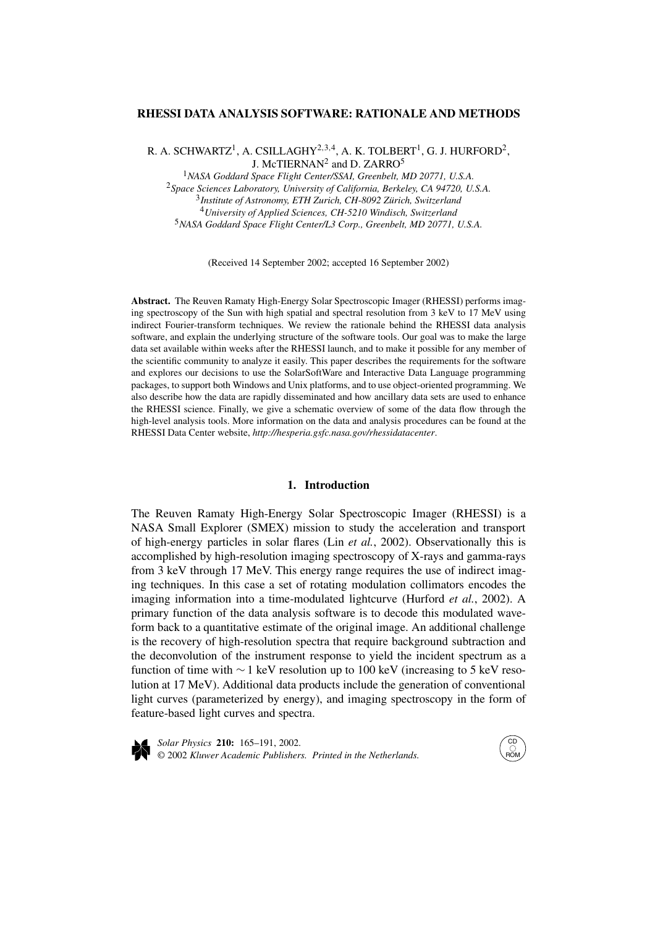## **RHESSI DATA ANALYSIS SOFTWARE: RATIONALE AND METHODS**

R. A. SCHWARTZ<sup>1</sup>, A. CSILLAGHY<sup>2, 3, 4</sup>, A. K. TOLBERT<sup>1</sup>, G. J. HURFORD<sup>2</sup>, J. McTIERNAN<sup>2</sup> and D. ZARRO<sup>5</sup>

*NASA Goddard Space Flight Center/SSAI, Greenbelt, MD 20771, U.S.A. Space Sciences Laboratory, University of California, Berkeley, CA 94720, U.S.A. Institute of Astronomy, ETH Zurich, CH-8092 Zürich, Switzerland University of Applied Sciences, CH-5210 Windisch, Switzerland NASA Goddard Space Flight Center/L3 Corp., Greenbelt, MD 20771, U.S.A.*

(Received 14 September 2002; accepted 16 September 2002)

**Abstract.** The Reuven Ramaty High-Energy Solar Spectroscopic Imager (RHESSI) performs imaging spectroscopy of the Sun with high spatial and spectral resolution from 3 keV to 17 MeV using indirect Fourier-transform techniques. We review the rationale behind the RHESSI data analysis software, and explain the underlying structure of the software tools. Our goal was to make the large data set available within weeks after the RHESSI launch, and to make it possible for any member of the scientific community to analyze it easily. This paper describes the requirements for the software and explores our decisions to use the SolarSoftWare and Interactive Data Language programming packages, to support both Windows and Unix platforms, and to use object-oriented programming. We also describe how the data are rapidly disseminated and how ancillary data sets are used to enhance the RHESSI science. Finally, we give a schematic overview of some of the data flow through the high-level analysis tools. More information on the data and analysis procedures can be found at the RHESSI Data Center website, *http://hesperia.gsfc.nasa.gov/rhessidatacenter*.

### **1. Introduction**

The Reuven Ramaty High-Energy Solar Spectroscopic Imager (RHESSI) is a NASA Small Explorer (SMEX) mission to study the acceleration and transport of high-energy particles in solar flares (Lin *et al.*, 2002). Observationally this is accomplished by high-resolution imaging spectroscopy of X-rays and gamma-rays from 3 keV through 17 MeV. This energy range requires the use of indirect imaging techniques. In this case a set of rotating modulation collimators encodes the imaging information into a time-modulated lightcurve (Hurford *et al.*, 2002). A primary function of the data analysis software is to decode this modulated waveform back to a quantitative estimate of the original image. An additional challenge is the recovery of high-resolution spectra that require background subtraction and the deconvolution of the instrument response to yield the incident spectrum as a function of time with  $\sim$  1 keV resolution up to 100 keV (increasing to 5 keV resolution at 17 MeV). Additional data products include the generation of conventional light curves (parameterized by energy), and imaging spectroscopy in the form of feature-based light curves and spectra.



*Solar Physics* **210:** 165–191, 2002. © 2002 *Kluwer Academic Publishers. Printed in the Netherlands.*

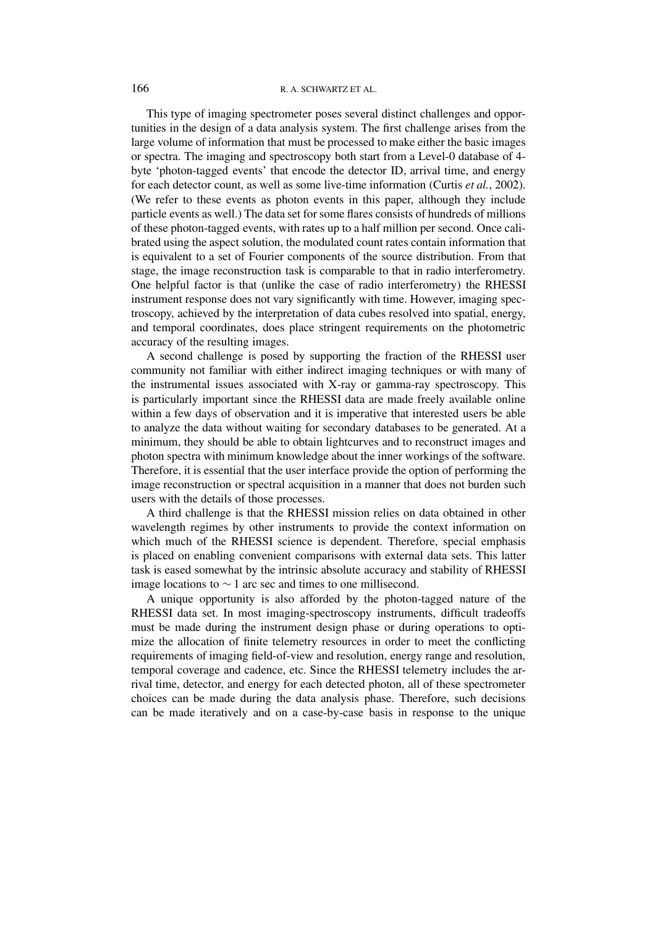### 166 R. A. SCHWARTZ ET AL.

This type of imaging spectrometer poses several distinct challenges and opportunities in the design of a data analysis system. The first challenge arises from the large volume of information that must be processed to make either the basic images or spectra. The imaging and spectroscopy both start from a Level-0 database of 4 byte 'photon-tagged events' that encode the detector ID, arrival time, and energy for each detector count, as well as some live-time information (Curtis *et al.*, 2002). (We refer to these events as photon events in this paper, although they include particle events as well.) The data set for some flares consists of hundreds of millions of these photon-tagged events, with rates up to a half million per second. Once calibrated using the aspect solution, the modulated count rates contain information that is equivalent to a set of Fourier components of the source distribution. From that stage, the image reconstruction task is comparable to that in radio interferometry. One helpful factor is that (unlike the case of radio interferometry) the RHESSI instrument response does not vary significantly with time. However, imaging spectroscopy, achieved by the interpretation of data cubes resolved into spatial, energy, and temporal coordinates, does place stringent requirements on the photometric accuracy of the resulting images.

A second challenge is posed by supporting the fraction of the RHESSI user community not familiar with either indirect imaging techniques or with many of the instrumental issues associated with X-ray or gamma-ray spectroscopy. This is particularly important since the RHESSI data are made freely available online within a few days of observation and it is imperative that interested users be able to analyze the data without waiting for secondary databases to be generated. At a minimum, they should be able to obtain lightcurves and to reconstruct images and photon spectra with minimum knowledge about the inner workings of the software. Therefore, it is essential that the user interface provide the option of performing the image reconstruction or spectral acquisition in a manner that does not burden such users with the details of those processes.

A third challenge is that the RHESSI mission relies on data obtained in other wavelength regimes by other instruments to provide the context information on which much of the RHESSI science is dependent. Therefore, special emphasis is placed on enabling convenient comparisons with external data sets. This latter task is eased somewhat by the intrinsic absolute accuracy and stability of RHESSI image locations to  $\sim$  1 arc sec and times to one millisecond.

A unique opportunity is also afforded by the photon-tagged nature of the RHESSI data set. In most imaging-spectroscopy instruments, difficult tradeoffs must be made during the instrument design phase or during operations to optimize the allocation of finite telemetry resources in order to meet the conflicting requirements of imaging field-of-view and resolution, energy range and resolution, temporal coverage and cadence, etc. Since the RHESSI telemetry includes the arrival time, detector, and energy for each detected photon, all of these spectrometer choices can be made during the data analysis phase. Therefore, such decisions can be made iteratively and on a case-by-case basis in response to the unique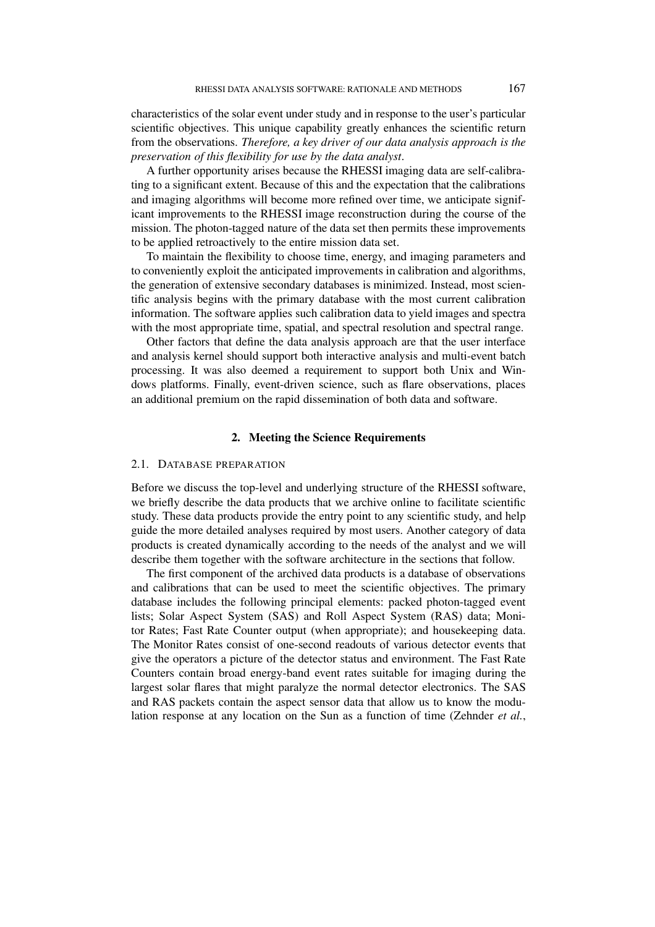characteristics of the solar event under study and in response to the user's particular scientific objectives. This unique capability greatly enhances the scientific return from the observations. *Therefore, a key driver of our data analysis approach is the preservation of this flexibility for use by the data analyst*.

A further opportunity arises because the RHESSI imaging data are self-calibrating to a significant extent. Because of this and the expectation that the calibrations and imaging algorithms will become more refined over time, we anticipate significant improvements to the RHESSI image reconstruction during the course of the mission. The photon-tagged nature of the data set then permits these improvements to be applied retroactively to the entire mission data set.

To maintain the flexibility to choose time, energy, and imaging parameters and to conveniently exploit the anticipated improvements in calibration and algorithms, the generation of extensive secondary databases is minimized. Instead, most scientific analysis begins with the primary database with the most current calibration information. The software applies such calibration data to yield images and spectra with the most appropriate time, spatial, and spectral resolution and spectral range.

Other factors that define the data analysis approach are that the user interface and analysis kernel should support both interactive analysis and multi-event batch processing. It was also deemed a requirement to support both Unix and Windows platforms. Finally, event-driven science, such as flare observations, places an additional premium on the rapid dissemination of both data and software.

#### **2. Meeting the Science Requirements**

## 2.1. DATABASE PREPARATION

Before we discuss the top-level and underlying structure of the RHESSI software, we briefly describe the data products that we archive online to facilitate scientific study. These data products provide the entry point to any scientific study, and help guide the more detailed analyses required by most users. Another category of data products is created dynamically according to the needs of the analyst and we will describe them together with the software architecture in the sections that follow.

The first component of the archived data products is a database of observations and calibrations that can be used to meet the scientific objectives. The primary database includes the following principal elements: packed photon-tagged event lists; Solar Aspect System (SAS) and Roll Aspect System (RAS) data; Monitor Rates; Fast Rate Counter output (when appropriate); and housekeeping data. The Monitor Rates consist of one-second readouts of various detector events that give the operators a picture of the detector status and environment. The Fast Rate Counters contain broad energy-band event rates suitable for imaging during the largest solar flares that might paralyze the normal detector electronics. The SAS and RAS packets contain the aspect sensor data that allow us to know the modulation response at any location on the Sun as a function of time (Zehnder *et al.*,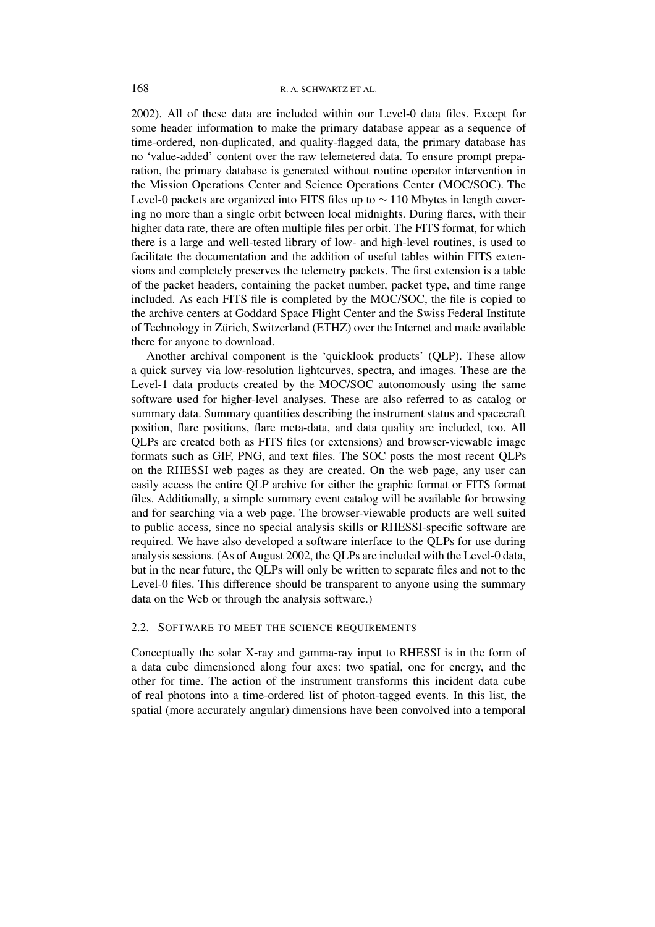2002). All of these data are included within our Level-0 data files. Except for some header information to make the primary database appear as a sequence of time-ordered, non-duplicated, and quality-flagged data, the primary database has no 'value-added' content over the raw telemetered data. To ensure prompt preparation, the primary database is generated without routine operator intervention in the Mission Operations Center and Science Operations Center (MOC/SOC). The Level-0 packets are organized into FITS files up to ∼ 110 Mbytes in length covering no more than a single orbit between local midnights. During flares, with their higher data rate, there are often multiple files per orbit. The FITS format, for which there is a large and well-tested library of low- and high-level routines, is used to facilitate the documentation and the addition of useful tables within FITS extensions and completely preserves the telemetry packets. The first extension is a table of the packet headers, containing the packet number, packet type, and time range included. As each FITS file is completed by the MOC/SOC, the file is copied to the archive centers at Goddard Space Flight Center and the Swiss Federal Institute of Technology in Zürich, Switzerland (ETHZ) over the Internet and made available there for anyone to download.

Another archival component is the 'quicklook products' (QLP). These allow a quick survey via low-resolution lightcurves, spectra, and images. These are the Level-1 data products created by the MOC/SOC autonomously using the same software used for higher-level analyses. These are also referred to as catalog or summary data. Summary quantities describing the instrument status and spacecraft position, flare positions, flare meta-data, and data quality are included, too. All QLPs are created both as FITS files (or extensions) and browser-viewable image formats such as GIF, PNG, and text files. The SOC posts the most recent QLPs on the RHESSI web pages as they are created. On the web page, any user can easily access the entire QLP archive for either the graphic format or FITS format files. Additionally, a simple summary event catalog will be available for browsing and for searching via a web page. The browser-viewable products are well suited to public access, since no special analysis skills or RHESSI-specific software are required. We have also developed a software interface to the QLPs for use during analysis sessions. (As of August 2002, the QLPs are included with the Level-0 data, but in the near future, the QLPs will only be written to separate files and not to the Level-0 files. This difference should be transparent to anyone using the summary data on the Web or through the analysis software.)

### 2.2. SOFTWARE TO MEET THE SCIENCE REQUIREMENTS

Conceptually the solar X-ray and gamma-ray input to RHESSI is in the form of a data cube dimensioned along four axes: two spatial, one for energy, and the other for time. The action of the instrument transforms this incident data cube of real photons into a time-ordered list of photon-tagged events. In this list, the spatial (more accurately angular) dimensions have been convolved into a temporal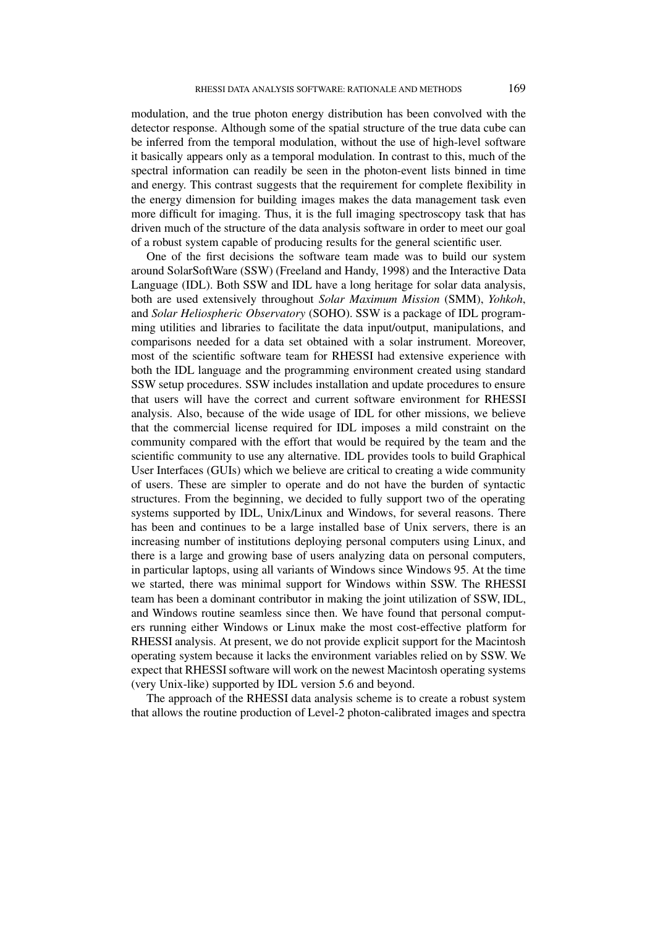modulation, and the true photon energy distribution has been convolved with the detector response. Although some of the spatial structure of the true data cube can be inferred from the temporal modulation, without the use of high-level software it basically appears only as a temporal modulation. In contrast to this, much of the spectral information can readily be seen in the photon-event lists binned in time and energy. This contrast suggests that the requirement for complete flexibility in the energy dimension for building images makes the data management task even more difficult for imaging. Thus, it is the full imaging spectroscopy task that has driven much of the structure of the data analysis software in order to meet our goal of a robust system capable of producing results for the general scientific user.

One of the first decisions the software team made was to build our system around SolarSoftWare (SSW) (Freeland and Handy, 1998) and the Interactive Data Language (IDL). Both SSW and IDL have a long heritage for solar data analysis, both are used extensively throughout *Solar Maximum Mission* (SMM), *Yohkoh*, and *Solar Heliospheric Observatory* (SOHO). SSW is a package of IDL programming utilities and libraries to facilitate the data input/output, manipulations, and comparisons needed for a data set obtained with a solar instrument. Moreover, most of the scientific software team for RHESSI had extensive experience with both the IDL language and the programming environment created using standard SSW setup procedures. SSW includes installation and update procedures to ensure that users will have the correct and current software environment for RHESSI analysis. Also, because of the wide usage of IDL for other missions, we believe that the commercial license required for IDL imposes a mild constraint on the community compared with the effort that would be required by the team and the scientific community to use any alternative. IDL provides tools to build Graphical User Interfaces (GUIs) which we believe are critical to creating a wide community of users. These are simpler to operate and do not have the burden of syntactic structures. From the beginning, we decided to fully support two of the operating systems supported by IDL, Unix/Linux and Windows, for several reasons. There has been and continues to be a large installed base of Unix servers, there is an increasing number of institutions deploying personal computers using Linux, and there is a large and growing base of users analyzing data on personal computers, in particular laptops, using all variants of Windows since Windows 95. At the time we started, there was minimal support for Windows within SSW. The RHESSI team has been a dominant contributor in making the joint utilization of SSW, IDL, and Windows routine seamless since then. We have found that personal computers running either Windows or Linux make the most cost-effective platform for RHESSI analysis. At present, we do not provide explicit support for the Macintosh operating system because it lacks the environment variables relied on by SSW. We expect that RHESSI software will work on the newest Macintosh operating systems (very Unix-like) supported by IDL version 5.6 and beyond.

The approach of the RHESSI data analysis scheme is to create a robust system that allows the routine production of Level-2 photon-calibrated images and spectra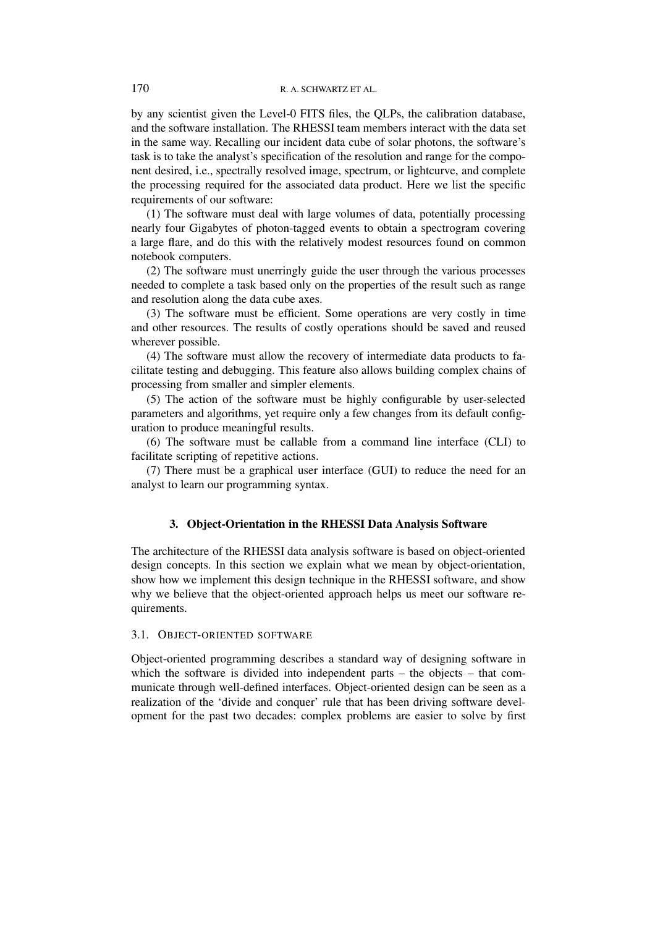by any scientist given the Level-0 FITS files, the QLPs, the calibration database, and the software installation. The RHESSI team members interact with the data set in the same way. Recalling our incident data cube of solar photons, the software's task is to take the analyst's specification of the resolution and range for the component desired, i.e., spectrally resolved image, spectrum, or lightcurve, and complete the processing required for the associated data product. Here we list the specific requirements of our software:

(1) The software must deal with large volumes of data, potentially processing nearly four Gigabytes of photon-tagged events to obtain a spectrogram covering a large flare, and do this with the relatively modest resources found on common notebook computers.

(2) The software must unerringly guide the user through the various processes needed to complete a task based only on the properties of the result such as range and resolution along the data cube axes.

(3) The software must be efficient. Some operations are very costly in time and other resources. The results of costly operations should be saved and reused wherever possible.

(4) The software must allow the recovery of intermediate data products to facilitate testing and debugging. This feature also allows building complex chains of processing from smaller and simpler elements.

(5) The action of the software must be highly configurable by user-selected parameters and algorithms, yet require only a few changes from its default configuration to produce meaningful results.

(6) The software must be callable from a command line interface (CLI) to facilitate scripting of repetitive actions.

(7) There must be a graphical user interface (GUI) to reduce the need for an analyst to learn our programming syntax.

## **3. Object-Orientation in the RHESSI Data Analysis Software**

The architecture of the RHESSI data analysis software is based on object-oriented design concepts. In this section we explain what we mean by object-orientation, show how we implement this design technique in the RHESSI software, and show why we believe that the object-oriented approach helps us meet our software requirements.

## 3.1. OBJECT-ORIENTED SOFTWARE

Object-oriented programming describes a standard way of designing software in which the software is divided into independent parts – the objects – that communicate through well-defined interfaces. Object-oriented design can be seen as a realization of the 'divide and conquer' rule that has been driving software development for the past two decades: complex problems are easier to solve by first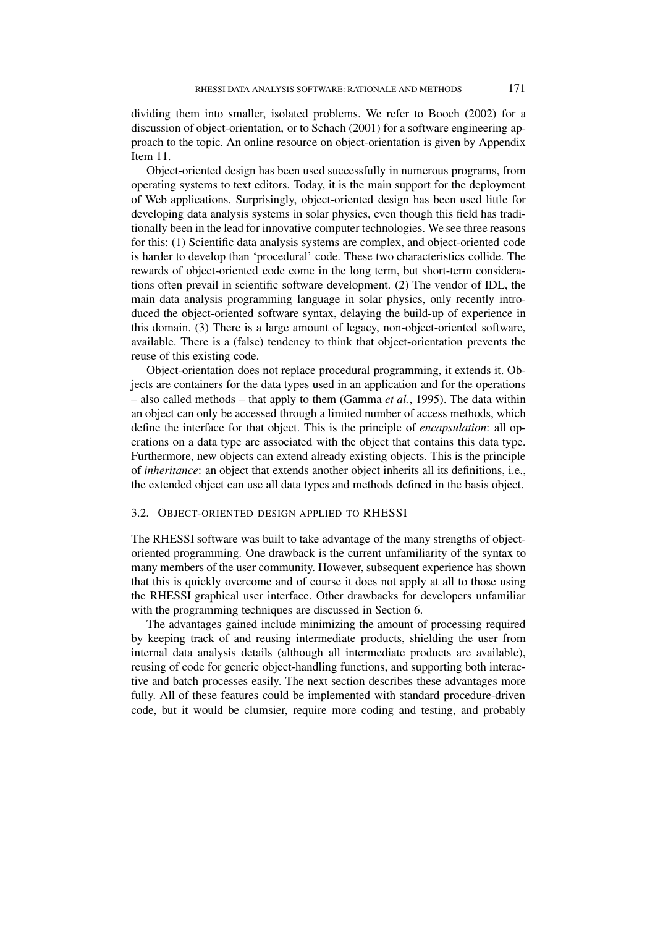dividing them into smaller, isolated problems. We refer to Booch (2002) for a discussion of object-orientation, or to Schach (2001) for a software engineering approach to the topic. An online resource on object-orientation is given by Appendix Item 11.

Object-oriented design has been used successfully in numerous programs, from operating systems to text editors. Today, it is the main support for the deployment of Web applications. Surprisingly, object-oriented design has been used little for developing data analysis systems in solar physics, even though this field has traditionally been in the lead for innovative computer technologies. We see three reasons for this: (1) Scientific data analysis systems are complex, and object-oriented code is harder to develop than 'procedural' code. These two characteristics collide. The rewards of object-oriented code come in the long term, but short-term considerations often prevail in scientific software development. (2) The vendor of IDL, the main data analysis programming language in solar physics, only recently introduced the object-oriented software syntax, delaying the build-up of experience in this domain. (3) There is a large amount of legacy, non-object-oriented software, available. There is a (false) tendency to think that object-orientation prevents the reuse of this existing code.

Object-orientation does not replace procedural programming, it extends it. Objects are containers for the data types used in an application and for the operations – also called methods – that apply to them (Gamma *et al.*, 1995). The data within an object can only be accessed through a limited number of access methods, which define the interface for that object. This is the principle of *encapsulation*: all operations on a data type are associated with the object that contains this data type. Furthermore, new objects can extend already existing objects. This is the principle of *inheritance*: an object that extends another object inherits all its definitions, i.e., the extended object can use all data types and methods defined in the basis object.

## 3.2. OBJECT-ORIENTED DESIGN APPLIED TO RHESSI

The RHESSI software was built to take advantage of the many strengths of objectoriented programming. One drawback is the current unfamiliarity of the syntax to many members of the user community. However, subsequent experience has shown that this is quickly overcome and of course it does not apply at all to those using the RHESSI graphical user interface. Other drawbacks for developers unfamiliar with the programming techniques are discussed in Section 6.

The advantages gained include minimizing the amount of processing required by keeping track of and reusing intermediate products, shielding the user from internal data analysis details (although all intermediate products are available), reusing of code for generic object-handling functions, and supporting both interactive and batch processes easily. The next section describes these advantages more fully. All of these features could be implemented with standard procedure-driven code, but it would be clumsier, require more coding and testing, and probably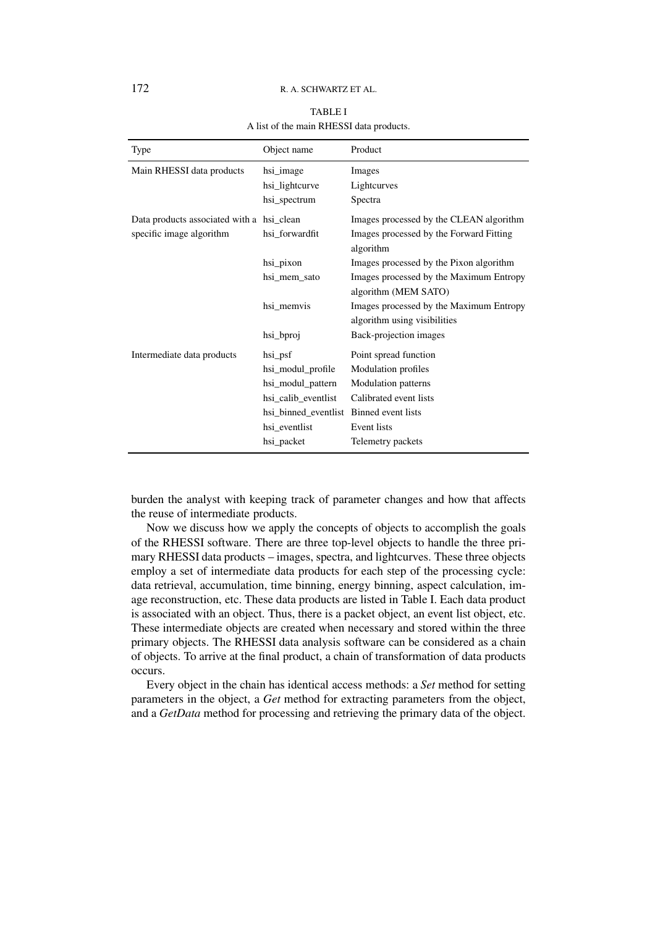#### 172 R. A. SCHWARTZ ET AL.

| Type                                      | Object name                             | Product                                                                 |
|-------------------------------------------|-----------------------------------------|-------------------------------------------------------------------------|
| Main RHESSI data products                 | hsi_image<br>hsi_lightcurve             | Images<br>Lightcurves                                                   |
|                                           | hsi_spectrum                            | Spectra                                                                 |
| Data products associated with a hsi_clean |                                         | Images processed by the CLEAN algorithm                                 |
| specific image algorithm                  | hsi_forwardfit                          | Images processed by the Forward Fitting<br>algorithm                    |
|                                           | hsi_pixon                               | Images processed by the Pixon algorithm                                 |
|                                           | hsi mem sato                            | Images processed by the Maximum Entropy<br>algorithm (MEM SATO)         |
|                                           | hsi memvis                              | Images processed by the Maximum Entropy<br>algorithm using visibilities |
|                                           | hsi_bproj                               | Back-projection images                                                  |
| Intermediate data products                | hsi_psf                                 | Point spread function                                                   |
|                                           | hsi_modul_profile                       | Modulation profiles                                                     |
|                                           | hsi modul pattern                       | <b>Modulation</b> patterns                                              |
|                                           | hsi_calib_eventlist                     | Calibrated event lists                                                  |
|                                           | hsi_binned_eventlist Binned event lists |                                                                         |
|                                           | hsi_eventlist                           | Event lists                                                             |
|                                           | hsi_packet                              | Telemetry packets                                                       |

## TABLE I A list of the main RHESSI data products.

burden the analyst with keeping track of parameter changes and how that affects the reuse of intermediate products.

Now we discuss how we apply the concepts of objects to accomplish the goals of the RHESSI software. There are three top-level objects to handle the three primary RHESSI data products – images, spectra, and lightcurves. These three objects employ a set of intermediate data products for each step of the processing cycle: data retrieval, accumulation, time binning, energy binning, aspect calculation, image reconstruction, etc. These data products are listed in Table I. Each data product is associated with an object. Thus, there is a packet object, an event list object, etc. These intermediate objects are created when necessary and stored within the three primary objects. The RHESSI data analysis software can be considered as a chain of objects. To arrive at the final product, a chain of transformation of data products occurs.

Every object in the chain has identical access methods: a *Set* method for setting parameters in the object, a *Get* method for extracting parameters from the object, and a *GetData* method for processing and retrieving the primary data of the object.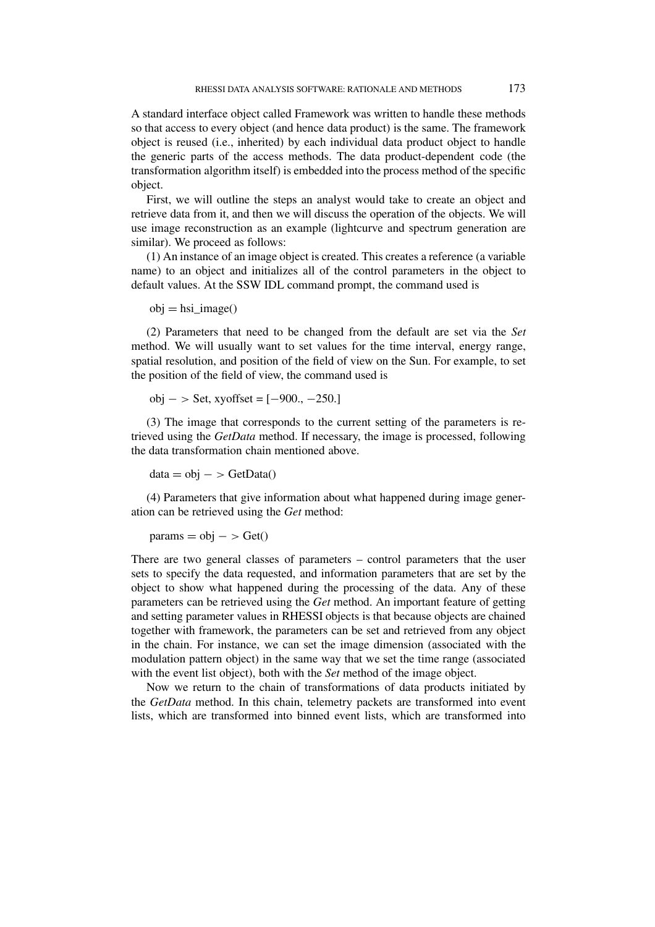A standard interface object called Framework was written to handle these methods so that access to every object (and hence data product) is the same. The framework object is reused (i.e., inherited) by each individual data product object to handle the generic parts of the access methods. The data product-dependent code (the transformation algorithm itself) is embedded into the process method of the specific object.

First, we will outline the steps an analyst would take to create an object and retrieve data from it, and then we will discuss the operation of the objects. We will use image reconstruction as an example (lightcurve and spectrum generation are similar). We proceed as follows:

(1) An instance of an image object is created. This creates a reference (a variable name) to an object and initializes all of the control parameters in the object to default values. At the SSW IDL command prompt, the command used is

 $obj = hsi$  image()

(2) Parameters that need to be changed from the default are set via the *Set* method. We will usually want to set values for the time interval, energy range, spatial resolution, and position of the field of view on the Sun. For example, to set the position of the field of view, the command used is

obj 
$$
-
$$
 > Set, xyoffset =  $[-900, -250]$ 

(3) The image that corresponds to the current setting of the parameters is retrieved using the *GetData* method. If necessary, the image is processed, following the data transformation chain mentioned above.

 $data = obj - > GetData()$ 

(4) Parameters that give information about what happened during image generation can be retrieved using the *Get* method:

 $params = obj - > Get()$ 

There are two general classes of parameters – control parameters that the user sets to specify the data requested, and information parameters that are set by the object to show what happened during the processing of the data. Any of these parameters can be retrieved using the *Get* method. An important feature of getting and setting parameter values in RHESSI objects is that because objects are chained together with framework, the parameters can be set and retrieved from any object in the chain. For instance, we can set the image dimension (associated with the modulation pattern object) in the same way that we set the time range (associated with the event list object), both with the *Set* method of the image object.

Now we return to the chain of transformations of data products initiated by the *GetData* method. In this chain, telemetry packets are transformed into event lists, which are transformed into binned event lists, which are transformed into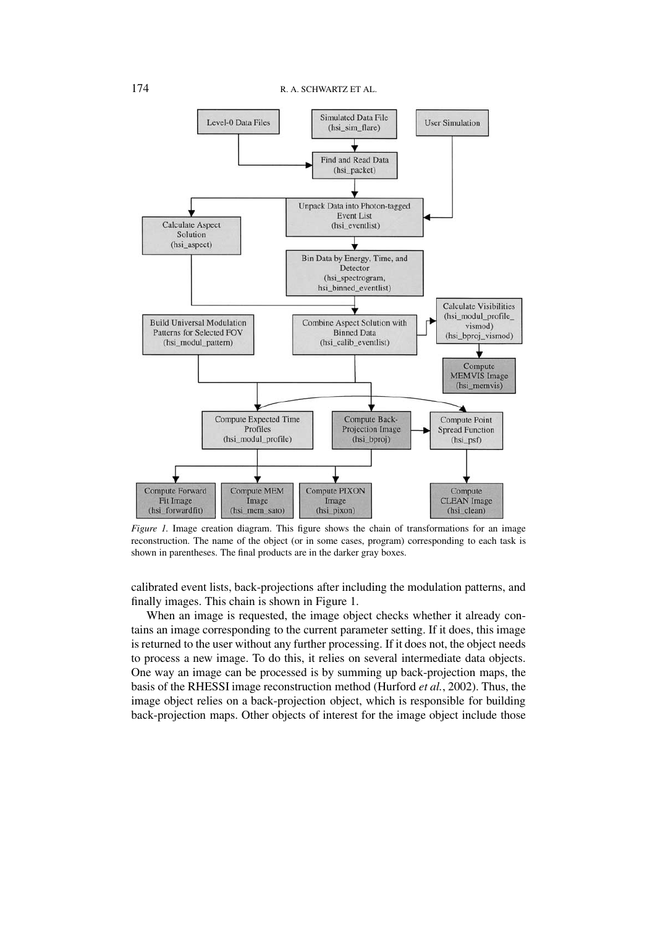

*Figure 1.* Image creation diagram. This figure shows the chain of transformations for an image reconstruction. The name of the object (or in some cases, program) corresponding to each task is shown in parentheses. The final products are in the darker gray boxes.

calibrated event lists, back-projections after including the modulation patterns, and finally images. This chain is shown in Figure 1.

When an image is requested, the image object checks whether it already contains an image corresponding to the current parameter setting. If it does, this image is returned to the user without any further processing. If it does not, the object needs to process a new image. To do this, it relies on several intermediate data objects. One way an image can be processed is by summing up back-projection maps, the basis of the RHESSI image reconstruction method (Hurford *et al.*, 2002). Thus, the image object relies on a back-projection object, which is responsible for building back-projection maps. Other objects of interest for the image object include those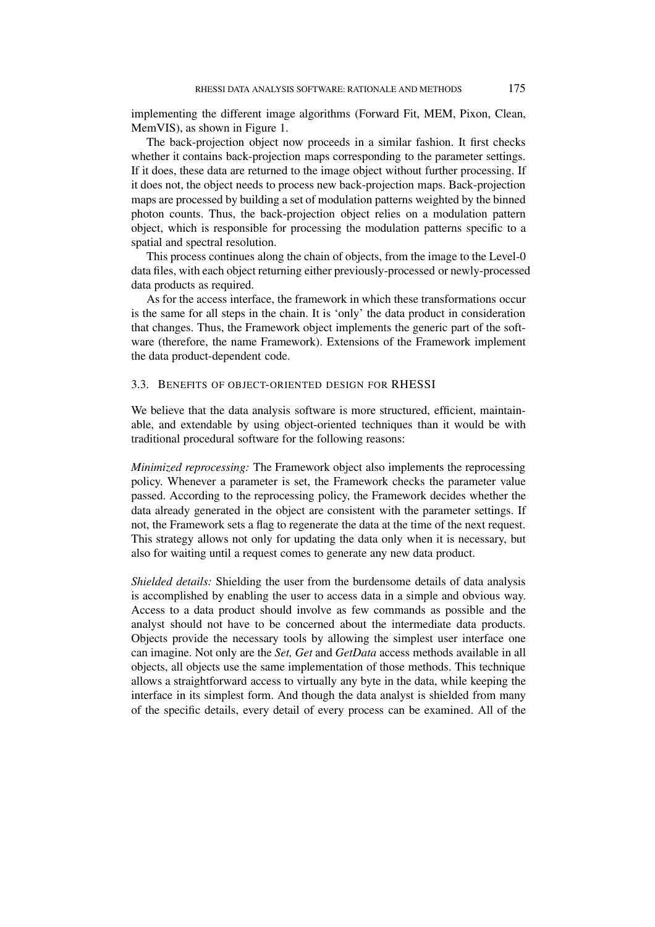implementing the different image algorithms (Forward Fit, MEM, Pixon, Clean, MemVIS), as shown in Figure 1.

The back-projection object now proceeds in a similar fashion. It first checks whether it contains back-projection maps corresponding to the parameter settings. If it does, these data are returned to the image object without further processing. If it does not, the object needs to process new back-projection maps. Back-projection maps are processed by building a set of modulation patterns weighted by the binned photon counts. Thus, the back-projection object relies on a modulation pattern object, which is responsible for processing the modulation patterns specific to a spatial and spectral resolution.

This process continues along the chain of objects, from the image to the Level-0 data files, with each object returning either previously-processed or newly-processed data products as required.

As for the access interface, the framework in which these transformations occur is the same for all steps in the chain. It is 'only' the data product in consideration that changes. Thus, the Framework object implements the generic part of the software (therefore, the name Framework). Extensions of the Framework implement the data product-dependent code.

## 3.3. BENEFITS OF OBJECT-ORIENTED DESIGN FOR RHESSI

We believe that the data analysis software is more structured, efficient, maintainable, and extendable by using object-oriented techniques than it would be with traditional procedural software for the following reasons:

*Minimized reprocessing:* The Framework object also implements the reprocessing policy. Whenever a parameter is set, the Framework checks the parameter value passed. According to the reprocessing policy, the Framework decides whether the data already generated in the object are consistent with the parameter settings. If not, the Framework sets a flag to regenerate the data at the time of the next request. This strategy allows not only for updating the data only when it is necessary, but also for waiting until a request comes to generate any new data product.

*Shielded details:* Shielding the user from the burdensome details of data analysis is accomplished by enabling the user to access data in a simple and obvious way. Access to a data product should involve as few commands as possible and the analyst should not have to be concerned about the intermediate data products. Objects provide the necessary tools by allowing the simplest user interface one can imagine. Not only are the *Set, Get* and *GetData* access methods available in all objects, all objects use the same implementation of those methods. This technique allows a straightforward access to virtually any byte in the data, while keeping the interface in its simplest form. And though the data analyst is shielded from many of the specific details, every detail of every process can be examined. All of the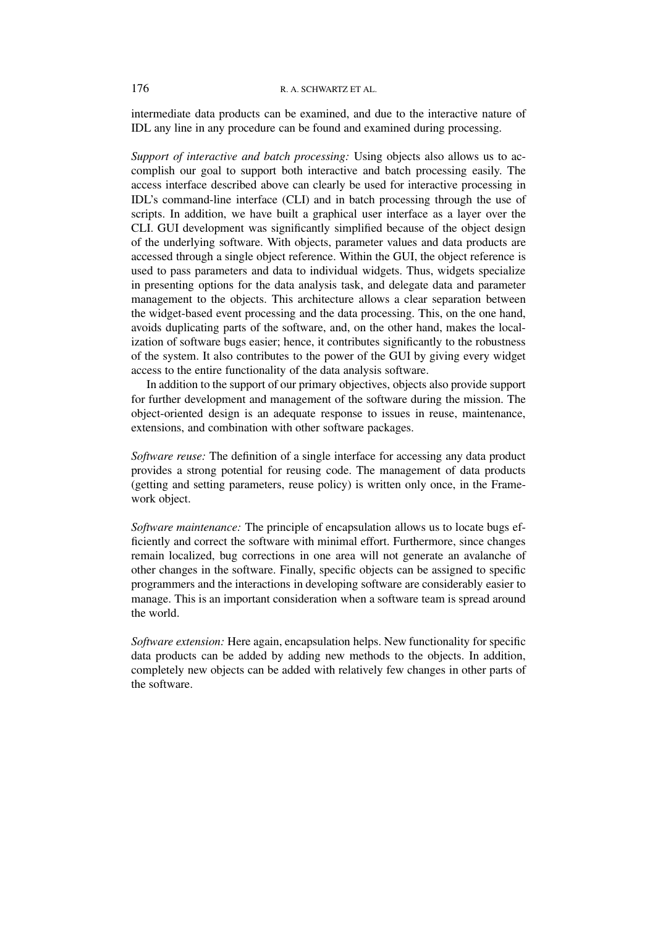intermediate data products can be examined, and due to the interactive nature of IDL any line in any procedure can be found and examined during processing.

*Support of interactive and batch processing:* Using objects also allows us to accomplish our goal to support both interactive and batch processing easily. The access interface described above can clearly be used for interactive processing in IDL's command-line interface (CLI) and in batch processing through the use of scripts. In addition, we have built a graphical user interface as a layer over the CLI. GUI development was significantly simplified because of the object design of the underlying software. With objects, parameter values and data products are accessed through a single object reference. Within the GUI, the object reference is used to pass parameters and data to individual widgets. Thus, widgets specialize in presenting options for the data analysis task, and delegate data and parameter management to the objects. This architecture allows a clear separation between the widget-based event processing and the data processing. This, on the one hand, avoids duplicating parts of the software, and, on the other hand, makes the localization of software bugs easier; hence, it contributes significantly to the robustness of the system. It also contributes to the power of the GUI by giving every widget access to the entire functionality of the data analysis software.

In addition to the support of our primary objectives, objects also provide support for further development and management of the software during the mission. The object-oriented design is an adequate response to issues in reuse, maintenance, extensions, and combination with other software packages.

*Software reuse:* The definition of a single interface for accessing any data product provides a strong potential for reusing code. The management of data products (getting and setting parameters, reuse policy) is written only once, in the Framework object.

*Software maintenance:* The principle of encapsulation allows us to locate bugs efficiently and correct the software with minimal effort. Furthermore, since changes remain localized, bug corrections in one area will not generate an avalanche of other changes in the software. Finally, specific objects can be assigned to specific programmers and the interactions in developing software are considerably easier to manage. This is an important consideration when a software team is spread around the world.

*Software extension:* Here again, encapsulation helps. New functionality for specific data products can be added by adding new methods to the objects. In addition, completely new objects can be added with relatively few changes in other parts of the software.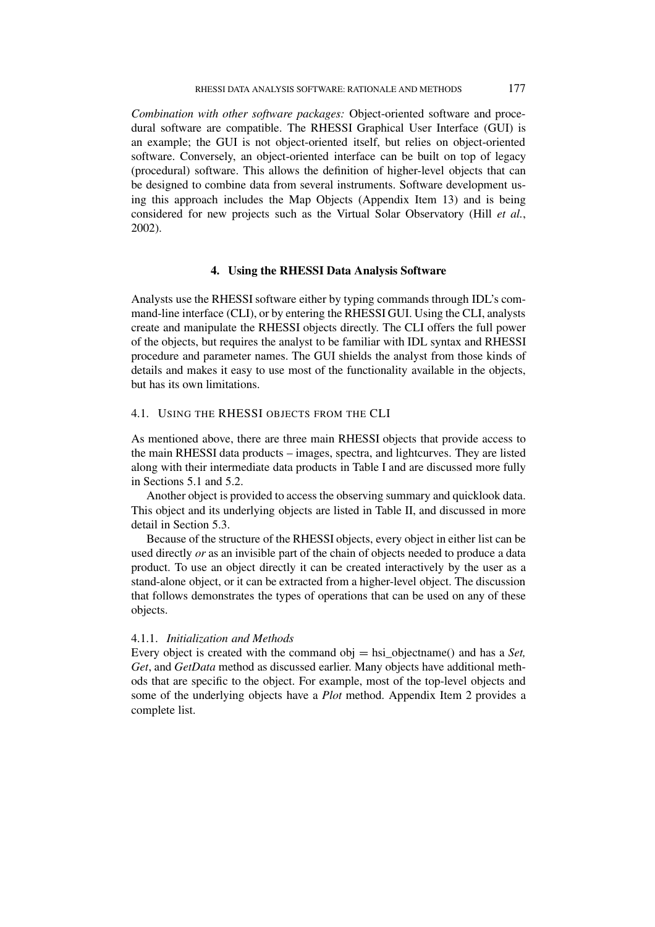*Combination with other software packages:* Object-oriented software and procedural software are compatible. The RHESSI Graphical User Interface (GUI) is an example; the GUI is not object-oriented itself, but relies on object-oriented software. Conversely, an object-oriented interface can be built on top of legacy (procedural) software. This allows the definition of higher-level objects that can be designed to combine data from several instruments. Software development using this approach includes the Map Objects (Appendix Item 13) and is being considered for new projects such as the Virtual Solar Observatory (Hill *et al.*, 2002).

## **4. Using the RHESSI Data Analysis Software**

Analysts use the RHESSI software either by typing commands through IDL's command-line interface (CLI), or by entering the RHESSI GUI. Using the CLI, analysts create and manipulate the RHESSI objects directly. The CLI offers the full power of the objects, but requires the analyst to be familiar with IDL syntax and RHESSI procedure and parameter names. The GUI shields the analyst from those kinds of details and makes it easy to use most of the functionality available in the objects, but has its own limitations.

# 4.1. USING THE RHESSI OBJECTS FROM THE CLI

As mentioned above, there are three main RHESSI objects that provide access to the main RHESSI data products – images, spectra, and lightcurves. They are listed along with their intermediate data products in Table I and are discussed more fully in Sections 5.1 and 5.2.

Another object is provided to access the observing summary and quicklook data. This object and its underlying objects are listed in Table II, and discussed in more detail in Section 5.3.

Because of the structure of the RHESSI objects, every object in either list can be used directly *or* as an invisible part of the chain of objects needed to produce a data product. To use an object directly it can be created interactively by the user as a stand-alone object, or it can be extracted from a higher-level object. The discussion that follows demonstrates the types of operations that can be used on any of these objects.

## 4.1.1. *Initialization and Methods*

Every object is created with the command obj = hsi\_objectname() and has a *Set*, *Get*, and *GetData* method as discussed earlier. Many objects have additional methods that are specific to the object. For example, most of the top-level objects and some of the underlying objects have a *Plot* method. Appendix Item 2 provides a complete list.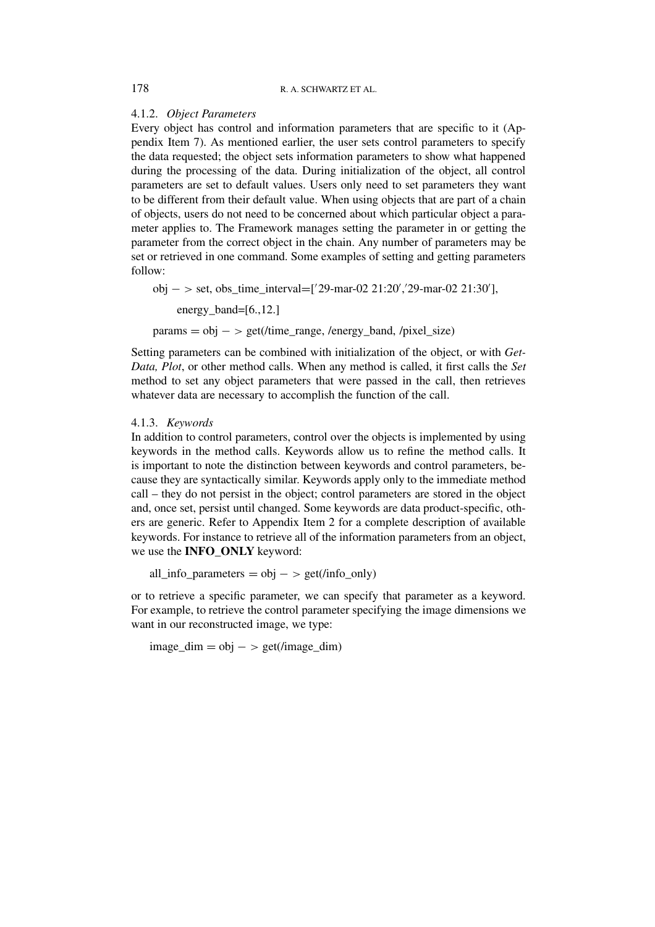## 4.1.2. *Object Parameters*

Every object has control and information parameters that are specific to it (Appendix Item 7). As mentioned earlier, the user sets control parameters to specify the data requested; the object sets information parameters to show what happened during the processing of the data. During initialization of the object, all control parameters are set to default values. Users only need to set parameters they want to be different from their default value. When using objects that are part of a chain of objects, users do not need to be concerned about which particular object a parameter applies to. The Framework manages setting the parameter in or getting the parameter from the correct object in the chain. Any number of parameters may be set or retrieved in one command. Some examples of setting and getting parameters follow:

obj – > set, obs\_time\_interval=['29-mar-02 21:20','29-mar-02 21:30'], energy\_band=[6.,12.]  $params = obj - \geq get/(time \ range, /energy \ band, /pixel \ size)$ 

Setting parameters can be combined with initialization of the object, or with *Get-Data, Plot*, or other method calls. When any method is called, it first calls the *Set* method to set any object parameters that were passed in the call, then retrieves whatever data are necessary to accomplish the function of the call.

## 4.1.3. *Keywords*

In addition to control parameters, control over the objects is implemented by using keywords in the method calls. Keywords allow us to refine the method calls. It is important to note the distinction between keywords and control parameters, because they are syntactically similar. Keywords apply only to the immediate method call – they do not persist in the object; control parameters are stored in the object and, once set, persist until changed. Some keywords are data product-specific, others are generic. Refer to Appendix Item 2 for a complete description of available keywords. For instance to retrieve all of the information parameters from an object, we use the **INFO\_ONLY** keyword:

all\_info\_parameters = obj − *>* get(/info\_only)

or to retrieve a specific parameter, we can specify that parameter as a keyword. For example, to retrieve the control parameter specifying the image dimensions we want in our reconstructed image, we type:

image  $\dim = \text{obj} - \text{set}(i\text{image dim})$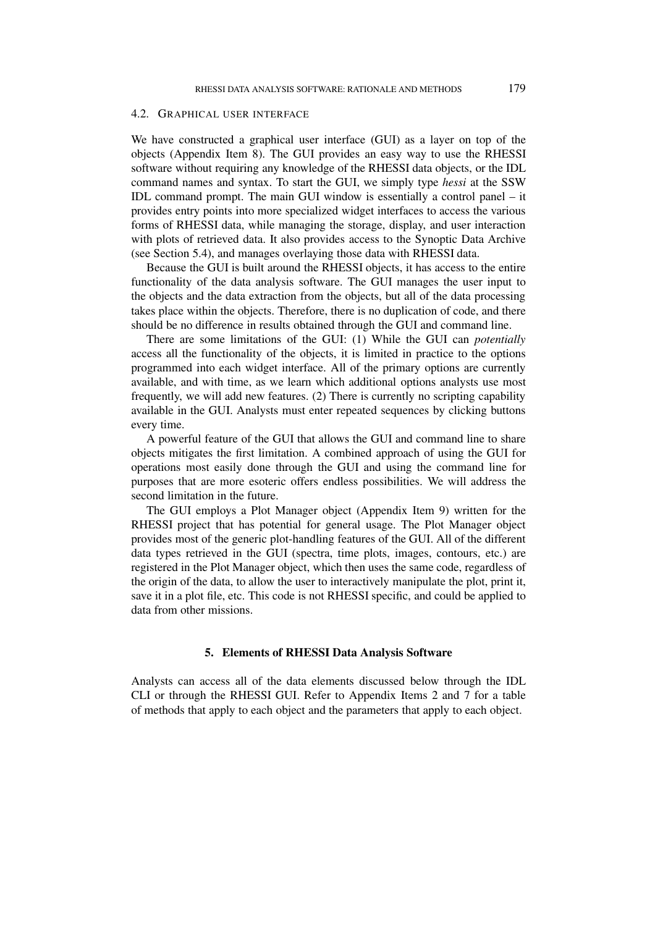### 4.2. GRAPHICAL USER INTERFACE

We have constructed a graphical user interface (GUI) as a layer on top of the objects (Appendix Item 8). The GUI provides an easy way to use the RHESSI software without requiring any knowledge of the RHESSI data objects, or the IDL command names and syntax. To start the GUI, we simply type *hessi* at the SSW IDL command prompt. The main GUI window is essentially a control panel – it provides entry points into more specialized widget interfaces to access the various forms of RHESSI data, while managing the storage, display, and user interaction with plots of retrieved data. It also provides access to the Synoptic Data Archive (see Section 5.4), and manages overlaying those data with RHESSI data.

Because the GUI is built around the RHESSI objects, it has access to the entire functionality of the data analysis software. The GUI manages the user input to the objects and the data extraction from the objects, but all of the data processing takes place within the objects. Therefore, there is no duplication of code, and there should be no difference in results obtained through the GUI and command line.

There are some limitations of the GUI: (1) While the GUI can *potentially* access all the functionality of the objects, it is limited in practice to the options programmed into each widget interface. All of the primary options are currently available, and with time, as we learn which additional options analysts use most frequently, we will add new features. (2) There is currently no scripting capability available in the GUI. Analysts must enter repeated sequences by clicking buttons every time.

A powerful feature of the GUI that allows the GUI and command line to share objects mitigates the first limitation. A combined approach of using the GUI for operations most easily done through the GUI and using the command line for purposes that are more esoteric offers endless possibilities. We will address the second limitation in the future.

The GUI employs a Plot Manager object (Appendix Item 9) written for the RHESSI project that has potential for general usage. The Plot Manager object provides most of the generic plot-handling features of the GUI. All of the different data types retrieved in the GUI (spectra, time plots, images, contours, etc.) are registered in the Plot Manager object, which then uses the same code, regardless of the origin of the data, to allow the user to interactively manipulate the plot, print it, save it in a plot file, etc. This code is not RHESSI specific, and could be applied to data from other missions.

## **5. Elements of RHESSI Data Analysis Software**

Analysts can access all of the data elements discussed below through the IDL CLI or through the RHESSI GUI. Refer to Appendix Items 2 and 7 for a table of methods that apply to each object and the parameters that apply to each object.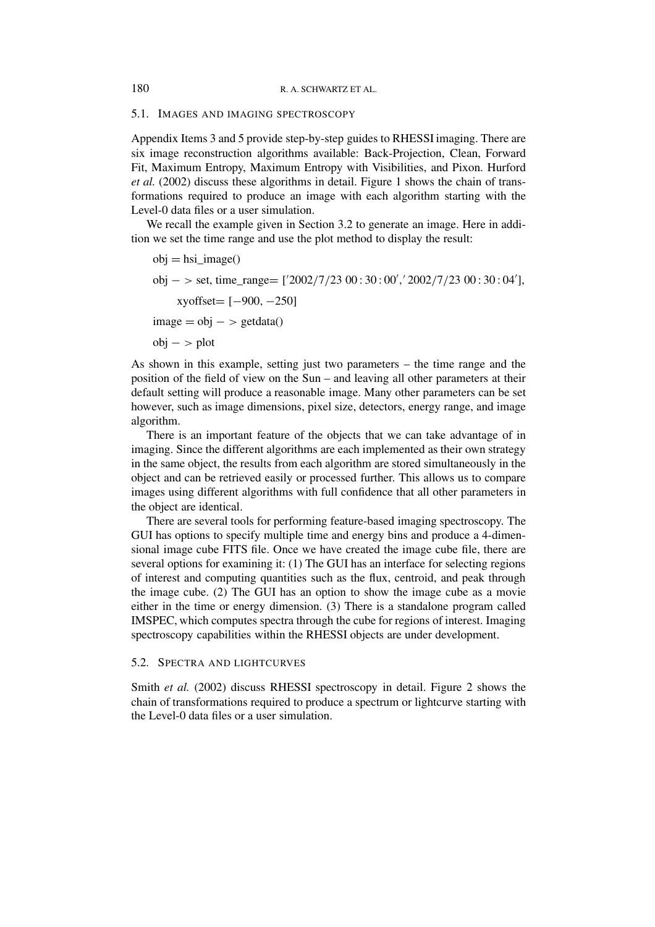## 5.1. IMAGES AND IMAGING SPECTROSCOPY

Appendix Items 3 and 5 provide step-by-step guides to RHESSI imaging. There are six image reconstruction algorithms available: Back-Projection, Clean, Forward Fit, Maximum Entropy, Maximum Entropy with Visibilities, and Pixon. Hurford *et al.* (2002) discuss these algorithms in detail. Figure 1 shows the chain of transformations required to produce an image with each algorithm starting with the Level-0 data files or a user simulation.

We recall the example given in Section 3.2 to generate an image. Here in addition we set the time range and use the plot method to display the result:

$$
obj = hsi\_image()
$$
  
\n
$$
obj - > set, time\_range = \frac{2002}{7/23} 00 : 30 : 00', \frac{2002}{7/23} 00 : 30 : 04',
$$
  
\n
$$
xyoffset = [-900, -250]
$$
  
\n
$$
image = obj - > getdata()
$$
  
\n
$$
obj - > plot
$$

As shown in this example, setting just two parameters – the time range and the position of the field of view on the Sun – and leaving all other parameters at their default setting will produce a reasonable image. Many other parameters can be set however, such as image dimensions, pixel size, detectors, energy range, and image algorithm.

There is an important feature of the objects that we can take advantage of in imaging. Since the different algorithms are each implemented as their own strategy in the same object, the results from each algorithm are stored simultaneously in the object and can be retrieved easily or processed further. This allows us to compare images using different algorithms with full confidence that all other parameters in the object are identical.

There are several tools for performing feature-based imaging spectroscopy. The GUI has options to specify multiple time and energy bins and produce a 4-dimensional image cube FITS file. Once we have created the image cube file, there are several options for examining it: (1) The GUI has an interface for selecting regions of interest and computing quantities such as the flux, centroid, and peak through the image cube. (2) The GUI has an option to show the image cube as a movie either in the time or energy dimension. (3) There is a standalone program called IMSPEC, which computes spectra through the cube for regions of interest. Imaging spectroscopy capabilities within the RHESSI objects are under development.

## 5.2. SPECTRA AND LIGHTCURVES

Smith *et al.* (2002) discuss RHESSI spectroscopy in detail. Figure 2 shows the chain of transformations required to produce a spectrum or lightcurve starting with the Level-0 data files or a user simulation.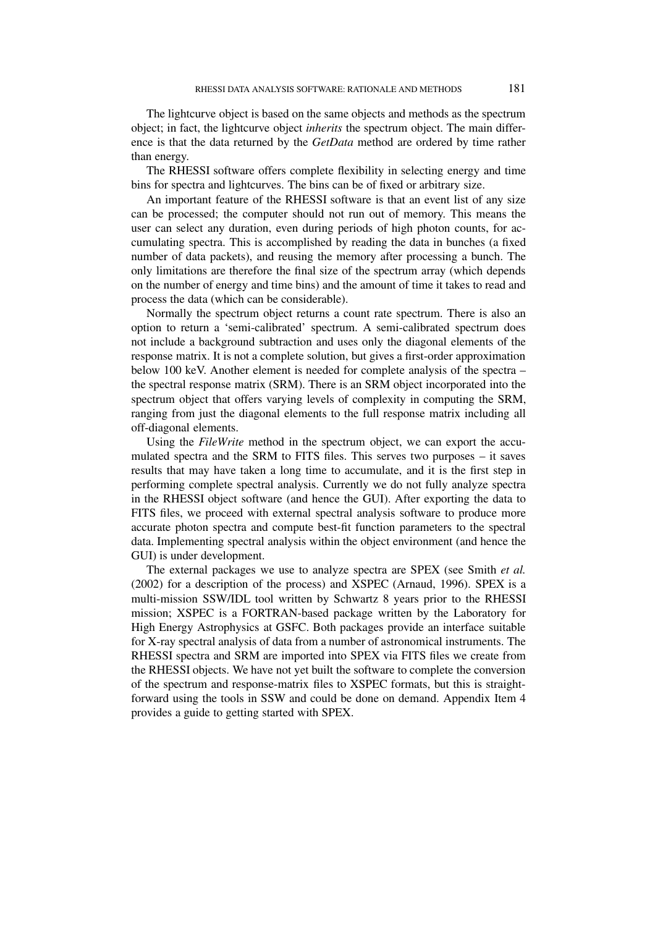The lightcurve object is based on the same objects and methods as the spectrum object; in fact, the lightcurve object *inherits* the spectrum object. The main difference is that the data returned by the *GetData* method are ordered by time rather than energy.

The RHESSI software offers complete flexibility in selecting energy and time bins for spectra and lightcurves. The bins can be of fixed or arbitrary size.

An important feature of the RHESSI software is that an event list of any size can be processed; the computer should not run out of memory. This means the user can select any duration, even during periods of high photon counts, for accumulating spectra. This is accomplished by reading the data in bunches (a fixed number of data packets), and reusing the memory after processing a bunch. The only limitations are therefore the final size of the spectrum array (which depends on the number of energy and time bins) and the amount of time it takes to read and process the data (which can be considerable).

Normally the spectrum object returns a count rate spectrum. There is also an option to return a 'semi-calibrated' spectrum. A semi-calibrated spectrum does not include a background subtraction and uses only the diagonal elements of the response matrix. It is not a complete solution, but gives a first-order approximation below 100 keV. Another element is needed for complete analysis of the spectra – the spectral response matrix (SRM). There is an SRM object incorporated into the spectrum object that offers varying levels of complexity in computing the SRM, ranging from just the diagonal elements to the full response matrix including all off-diagonal elements.

Using the *FileWrite* method in the spectrum object, we can export the accumulated spectra and the SRM to FITS files. This serves two purposes – it saves results that may have taken a long time to accumulate, and it is the first step in performing complete spectral analysis. Currently we do not fully analyze spectra in the RHESSI object software (and hence the GUI). After exporting the data to FITS files, we proceed with external spectral analysis software to produce more accurate photon spectra and compute best-fit function parameters to the spectral data. Implementing spectral analysis within the object environment (and hence the GUI) is under development.

The external packages we use to analyze spectra are SPEX (see Smith *et al.* (2002) for a description of the process) and XSPEC (Arnaud, 1996). SPEX is a multi-mission SSW/IDL tool written by Schwartz 8 years prior to the RHESSI mission; XSPEC is a FORTRAN-based package written by the Laboratory for High Energy Astrophysics at GSFC. Both packages provide an interface suitable for X-ray spectral analysis of data from a number of astronomical instruments. The RHESSI spectra and SRM are imported into SPEX via FITS files we create from the RHESSI objects. We have not yet built the software to complete the conversion of the spectrum and response-matrix files to XSPEC formats, but this is straightforward using the tools in SSW and could be done on demand. Appendix Item 4 provides a guide to getting started with SPEX.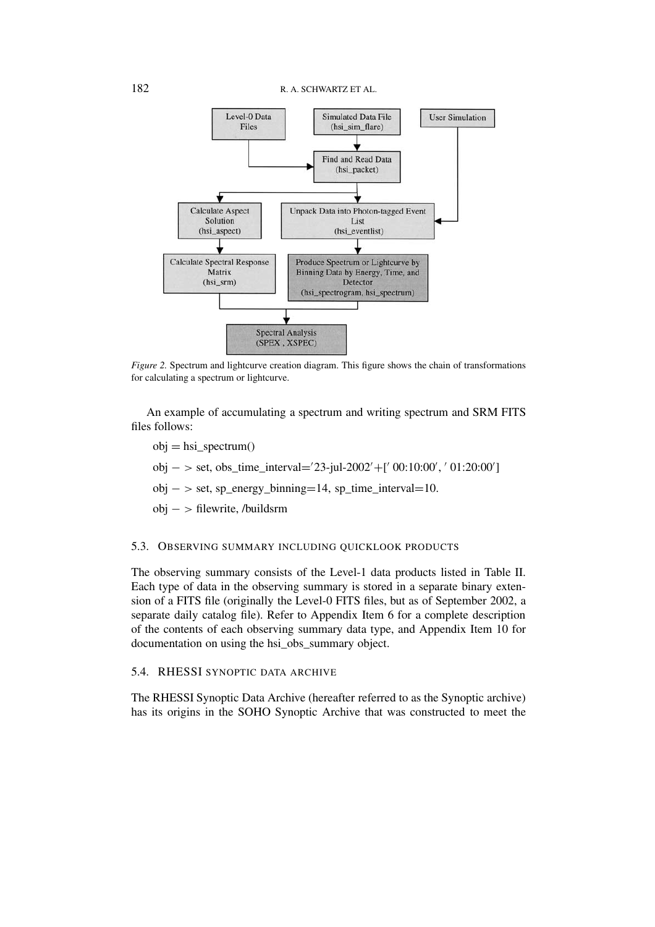

*Figure 2.* Spectrum and lightcurve creation diagram. This figure shows the chain of transformations for calculating a spectrum or lightcurve.

An example of accumulating a spectrum and writing spectrum and SRM FITS files follows:

 $obj = hsi\_spectrum()$ 

obj – > set, obs\_time\_interval='23-jul-2002'+[' 00:10:00', ' 01:20:00']

obj − *>* set, sp\_energy\_binning=14, sp\_time\_interval=10.

obj − *>* filewrite, /buildsrm

### 5.3. OBSERVING SUMMARY INCLUDING QUICKLOOK PRODUCTS

The observing summary consists of the Level-1 data products listed in Table II. Each type of data in the observing summary is stored in a separate binary extension of a FITS file (originally the Level-0 FITS files, but as of September 2002, a separate daily catalog file). Refer to Appendix Item 6 for a complete description of the contents of each observing summary data type, and Appendix Item 10 for documentation on using the hsi obs summary object.

## 5.4. RHESSI SYNOPTIC DATA ARCHIVE

The RHESSI Synoptic Data Archive (hereafter referred to as the Synoptic archive) has its origins in the SOHO Synoptic Archive that was constructed to meet the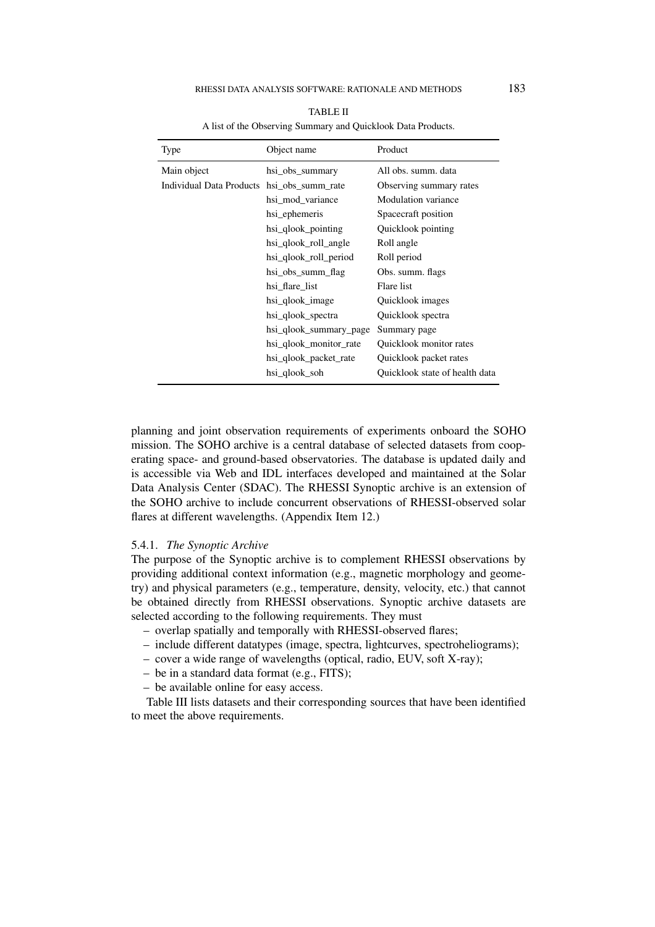| Type                     | Object name            | Product                        |
|--------------------------|------------------------|--------------------------------|
| Main object              | hsi obs summary        | All obs. summ. data            |
| Individual Data Products | hsi obs summ rate      | Observing summary rates        |
|                          | hsi mod variance       | <b>Modulation</b> variance     |
|                          | hsi ephemeris          | Spacecraft position            |
|                          | hsi_qlook_pointing     | Quicklook pointing             |
|                          | hsi_qlook_roll_angle   | Roll angle                     |
|                          | hsi_qlook_roll_period  | Roll period                    |
|                          | hsi_obs_summ_flag      | Obs. summ. flags               |
|                          | hsi flare list         | Flare list                     |
|                          | hsi_qlook_image        | Quicklook images               |
|                          | hsi_qlook_spectra      | Quicklook spectra              |
|                          | hsi_qlook_summary_page | Summary page                   |
|                          | hsi_qlook_monitor_rate | Quicklook monitor rates        |
|                          | hsi_qlook_packet_rate  | Quicklook packet rates         |
|                          | hsi qlook soh          | Quicklook state of health data |

| TABLE II                                                     |
|--------------------------------------------------------------|
| A list of the Observing Summary and Quicklook Data Products. |

planning and joint observation requirements of experiments onboard the SOHO mission. The SOHO archive is a central database of selected datasets from cooperating space- and ground-based observatories. The database is updated daily and is accessible via Web and IDL interfaces developed and maintained at the Solar Data Analysis Center (SDAC). The RHESSI Synoptic archive is an extension of the SOHO archive to include concurrent observations of RHESSI-observed solar flares at different wavelengths. (Appendix Item 12.)

## 5.4.1. *The Synoptic Archive*

The purpose of the Synoptic archive is to complement RHESSI observations by providing additional context information (e.g., magnetic morphology and geometry) and physical parameters (e.g., temperature, density, velocity, etc.) that cannot be obtained directly from RHESSI observations. Synoptic archive datasets are selected according to the following requirements. They must

- overlap spatially and temporally with RHESSI-observed flares;
- include different datatypes (image, spectra, lightcurves, spectroheliograms);
- cover a wide range of wavelengths (optical, radio, EUV, soft X-ray);
- be in a standard data format (e.g., FITS);
- be available online for easy access.

Table III lists datasets and their corresponding sources that have been identified to meet the above requirements.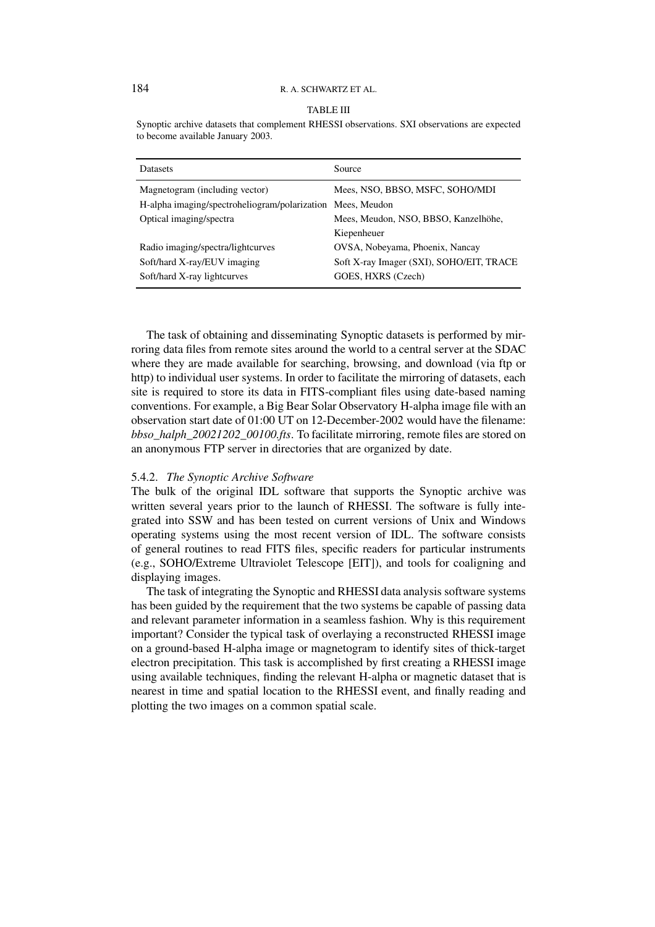#### 184 R. A. SCHWARTZ ET AL.

#### TABLE III

Synoptic archive datasets that complement RHESSI observations. SXI observations are expected to become available January 2003.

| <b>Datasets</b>                                            | Source                                   |
|------------------------------------------------------------|------------------------------------------|
| Magnetogram (including vector)                             | Mees, NSO, BBSO, MSFC, SOHO/MDI          |
| H-alpha imaging/spectroheliogram/polarization Mees, Meudon |                                          |
| Optical imaging/spectra                                    | Mees, Meudon, NSO, BBSO, Kanzelhöhe,     |
|                                                            | Kiepenheuer                              |
| Radio imaging/spectra/lightcurves                          | OVSA, Nobeyama, Phoenix, Nancay          |
| Soft/hard X-ray/EUV imaging                                | Soft X-ray Imager (SXI), SOHO/EIT, TRACE |
| Soft/hard X-ray lightcurves                                | GOES, HXRS (Czech)                       |

The task of obtaining and disseminating Synoptic datasets is performed by mirroring data files from remote sites around the world to a central server at the SDAC where they are made available for searching, browsing, and download (via ftp or http) to individual user systems. In order to facilitate the mirroring of datasets, each site is required to store its data in FITS-compliant files using date-based naming conventions. For example, a Big Bear Solar Observatory H-alpha image file with an observation start date of 01:00 UT on 12-December-2002 would have the filename: *bbso\_halph\_20021202\_00100.fts*. To facilitate mirroring, remote files are stored on an anonymous FTP server in directories that are organized by date.

## 5.4.2. *The Synoptic Archive Software*

The bulk of the original IDL software that supports the Synoptic archive was written several years prior to the launch of RHESSI. The software is fully integrated into SSW and has been tested on current versions of Unix and Windows operating systems using the most recent version of IDL. The software consists of general routines to read FITS files, specific readers for particular instruments (e.g., SOHO/Extreme Ultraviolet Telescope [EIT]), and tools for coaligning and displaying images.

The task of integrating the Synoptic and RHESSI data analysis software systems has been guided by the requirement that the two systems be capable of passing data and relevant parameter information in a seamless fashion. Why is this requirement important? Consider the typical task of overlaying a reconstructed RHESSI image on a ground-based H-alpha image or magnetogram to identify sites of thick-target electron precipitation. This task is accomplished by first creating a RHESSI image using available techniques, finding the relevant H-alpha or magnetic dataset that is nearest in time and spatial location to the RHESSI event, and finally reading and plotting the two images on a common spatial scale.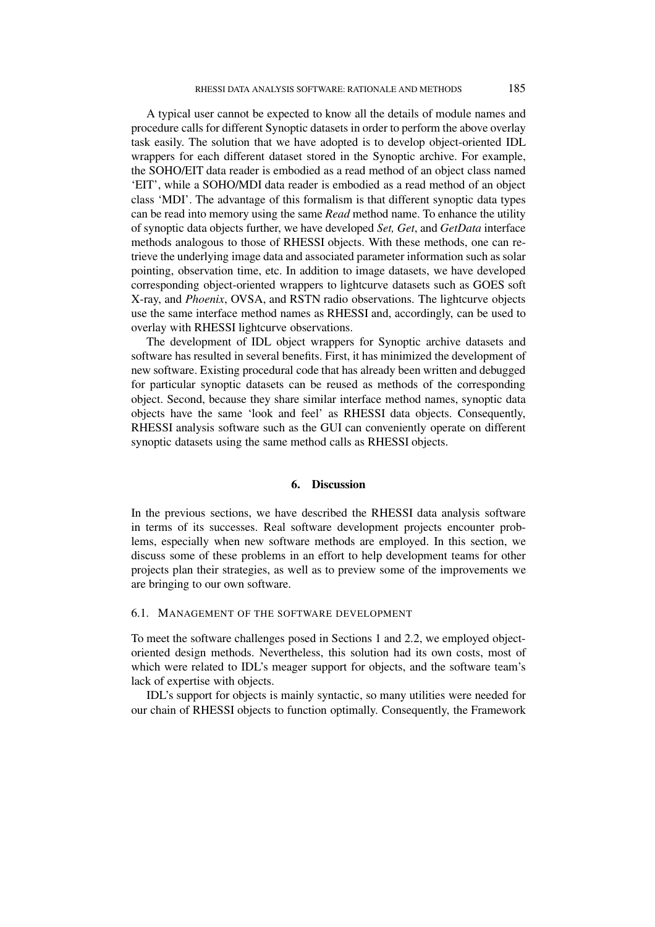A typical user cannot be expected to know all the details of module names and procedure calls for different Synoptic datasets in order to perform the above overlay task easily. The solution that we have adopted is to develop object-oriented IDL wrappers for each different dataset stored in the Synoptic archive. For example, the SOHO/EIT data reader is embodied as a read method of an object class named 'EIT', while a SOHO/MDI data reader is embodied as a read method of an object class 'MDI'. The advantage of this formalism is that different synoptic data types can be read into memory using the same *Read* method name. To enhance the utility of synoptic data objects further, we have developed *Set, Get*, and *GetData* interface methods analogous to those of RHESSI objects. With these methods, one can retrieve the underlying image data and associated parameter information such as solar pointing, observation time, etc. In addition to image datasets, we have developed corresponding object-oriented wrappers to lightcurve datasets such as GOES soft X-ray, and *Phoenix*, OVSA, and RSTN radio observations. The lightcurve objects use the same interface method names as RHESSI and, accordingly, can be used to overlay with RHESSI lightcurve observations.

The development of IDL object wrappers for Synoptic archive datasets and software has resulted in several benefits. First, it has minimized the development of new software. Existing procedural code that has already been written and debugged for particular synoptic datasets can be reused as methods of the corresponding object. Second, because they share similar interface method names, synoptic data objects have the same 'look and feel' as RHESSI data objects. Consequently, RHESSI analysis software such as the GUI can conveniently operate on different synoptic datasets using the same method calls as RHESSI objects.

#### **6. Discussion**

In the previous sections, we have described the RHESSI data analysis software in terms of its successes. Real software development projects encounter problems, especially when new software methods are employed. In this section, we discuss some of these problems in an effort to help development teams for other projects plan their strategies, as well as to preview some of the improvements we are bringing to our own software.

## 6.1. MANAGEMENT OF THE SOFTWARE DEVELOPMENT

To meet the software challenges posed in Sections 1 and 2.2, we employed objectoriented design methods. Nevertheless, this solution had its own costs, most of which were related to IDL's meager support for objects, and the software team's lack of expertise with objects.

IDL's support for objects is mainly syntactic, so many utilities were needed for our chain of RHESSI objects to function optimally. Consequently, the Framework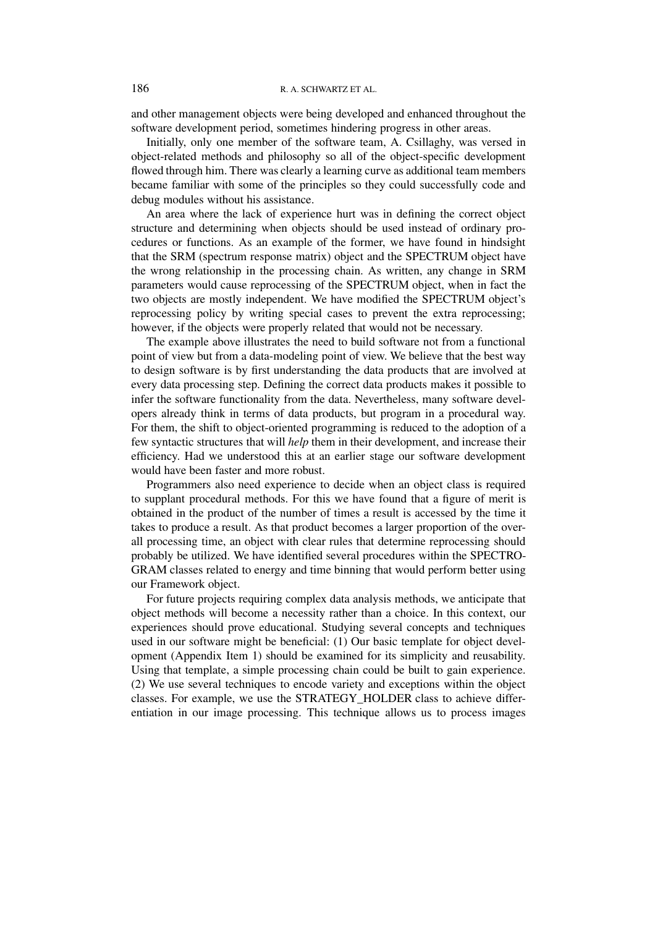and other management objects were being developed and enhanced throughout the software development period, sometimes hindering progress in other areas.

Initially, only one member of the software team, A. Csillaghy, was versed in object-related methods and philosophy so all of the object-specific development flowed through him. There was clearly a learning curve as additional team members became familiar with some of the principles so they could successfully code and debug modules without his assistance.

An area where the lack of experience hurt was in defining the correct object structure and determining when objects should be used instead of ordinary procedures or functions. As an example of the former, we have found in hindsight that the SRM (spectrum response matrix) object and the SPECTRUM object have the wrong relationship in the processing chain. As written, any change in SRM parameters would cause reprocessing of the SPECTRUM object, when in fact the two objects are mostly independent. We have modified the SPECTRUM object's reprocessing policy by writing special cases to prevent the extra reprocessing; however, if the objects were properly related that would not be necessary.

The example above illustrates the need to build software not from a functional point of view but from a data-modeling point of view. We believe that the best way to design software is by first understanding the data products that are involved at every data processing step. Defining the correct data products makes it possible to infer the software functionality from the data. Nevertheless, many software developers already think in terms of data products, but program in a procedural way. For them, the shift to object-oriented programming is reduced to the adoption of a few syntactic structures that will *help* them in their development, and increase their efficiency. Had we understood this at an earlier stage our software development would have been faster and more robust.

Programmers also need experience to decide when an object class is required to supplant procedural methods. For this we have found that a figure of merit is obtained in the product of the number of times a result is accessed by the time it takes to produce a result. As that product becomes a larger proportion of the overall processing time, an object with clear rules that determine reprocessing should probably be utilized. We have identified several procedures within the SPECTRO-GRAM classes related to energy and time binning that would perform better using our Framework object.

For future projects requiring complex data analysis methods, we anticipate that object methods will become a necessity rather than a choice. In this context, our experiences should prove educational. Studying several concepts and techniques used in our software might be beneficial: (1) Our basic template for object development (Appendix Item 1) should be examined for its simplicity and reusability. Using that template, a simple processing chain could be built to gain experience. (2) We use several techniques to encode variety and exceptions within the object classes. For example, we use the STRATEGY\_HOLDER class to achieve differentiation in our image processing. This technique allows us to process images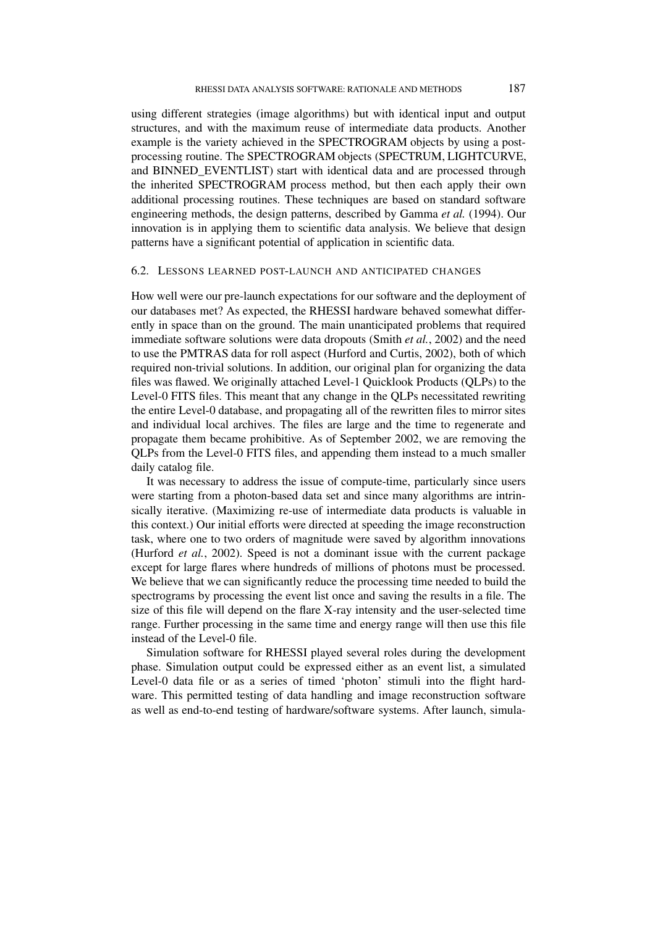using different strategies (image algorithms) but with identical input and output structures, and with the maximum reuse of intermediate data products. Another example is the variety achieved in the SPECTROGRAM objects by using a postprocessing routine. The SPECTROGRAM objects (SPECTRUM, LIGHTCURVE, and BINNED\_EVENTLIST) start with identical data and are processed through the inherited SPECTROGRAM process method, but then each apply their own additional processing routines. These techniques are based on standard software engineering methods, the design patterns, described by Gamma *et al.* (1994). Our innovation is in applying them to scientific data analysis. We believe that design patterns have a significant potential of application in scientific data.

### 6.2. LESSONS LEARNED POST-LAUNCH AND ANTICIPATED CHANGES

How well were our pre-launch expectations for our software and the deployment of our databases met? As expected, the RHESSI hardware behaved somewhat differently in space than on the ground. The main unanticipated problems that required immediate software solutions were data dropouts (Smith *et al.*, 2002) and the need to use the PMTRAS data for roll aspect (Hurford and Curtis, 2002), both of which required non-trivial solutions. In addition, our original plan for organizing the data files was flawed. We originally attached Level-1 Quicklook Products (QLPs) to the Level-0 FITS files. This meant that any change in the QLPs necessitated rewriting the entire Level-0 database, and propagating all of the rewritten files to mirror sites and individual local archives. The files are large and the time to regenerate and propagate them became prohibitive. As of September 2002, we are removing the QLPs from the Level-0 FITS files, and appending them instead to a much smaller daily catalog file.

It was necessary to address the issue of compute-time, particularly since users were starting from a photon-based data set and since many algorithms are intrinsically iterative. (Maximizing re-use of intermediate data products is valuable in this context.) Our initial efforts were directed at speeding the image reconstruction task, where one to two orders of magnitude were saved by algorithm innovations (Hurford *et al.*, 2002). Speed is not a dominant issue with the current package except for large flares where hundreds of millions of photons must be processed. We believe that we can significantly reduce the processing time needed to build the spectrograms by processing the event list once and saving the results in a file. The size of this file will depend on the flare X-ray intensity and the user-selected time range. Further processing in the same time and energy range will then use this file instead of the Level-0 file.

Simulation software for RHESSI played several roles during the development phase. Simulation output could be expressed either as an event list, a simulated Level-0 data file or as a series of timed 'photon' stimuli into the flight hardware. This permitted testing of data handling and image reconstruction software as well as end-to-end testing of hardware/software systems. After launch, simula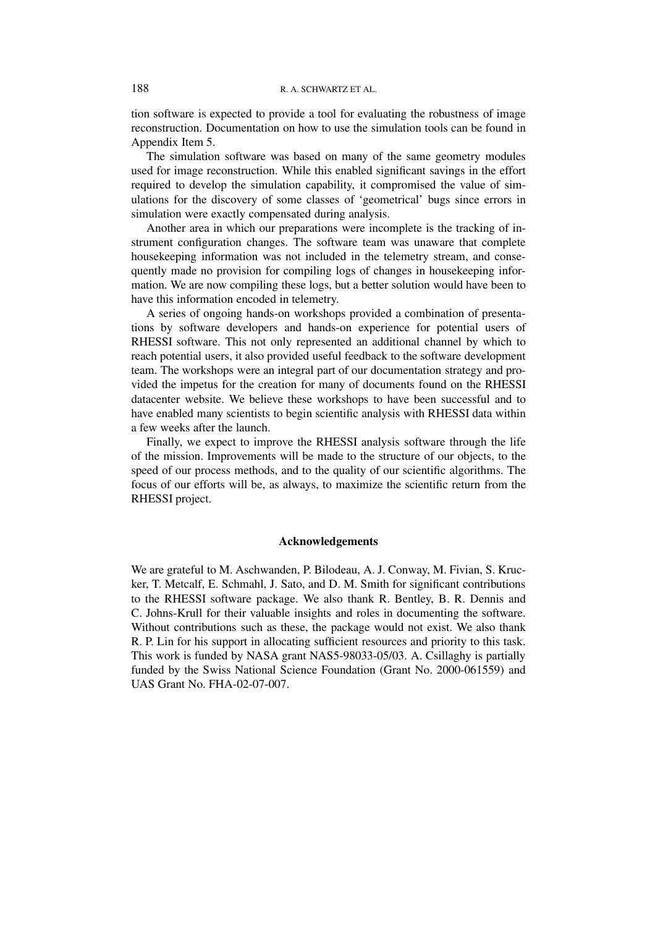tion software is expected to provide a tool for evaluating the robustness of image reconstruction. Documentation on how to use the simulation tools can be found in Appendix Item 5.

The simulation software was based on many of the same geometry modules used for image reconstruction. While this enabled significant savings in the effort required to develop the simulation capability, it compromised the value of simulations for the discovery of some classes of 'geometrical' bugs since errors in simulation were exactly compensated during analysis.

Another area in which our preparations were incomplete is the tracking of instrument configuration changes. The software team was unaware that complete housekeeping information was not included in the telemetry stream, and consequently made no provision for compiling logs of changes in housekeeping information. We are now compiling these logs, but a better solution would have been to have this information encoded in telemetry.

A series of ongoing hands-on workshops provided a combination of presentations by software developers and hands-on experience for potential users of RHESSI software. This not only represented an additional channel by which to reach potential users, it also provided useful feedback to the software development team. The workshops were an integral part of our documentation strategy and provided the impetus for the creation for many of documents found on the RHESSI datacenter website. We believe these workshops to have been successful and to have enabled many scientists to begin scientific analysis with RHESSI data within a few weeks after the launch.

Finally, we expect to improve the RHESSI analysis software through the life of the mission. Improvements will be made to the structure of our objects, to the speed of our process methods, and to the quality of our scientific algorithms. The focus of our efforts will be, as always, to maximize the scientific return from the RHESSI project.

#### **Acknowledgements**

We are grateful to M. Aschwanden, P. Bilodeau, A. J. Conway, M. Fivian, S. Krucker, T. Metcalf, E. Schmahl, J. Sato, and D. M. Smith for significant contributions to the RHESSI software package. We also thank R. Bentley, B. R. Dennis and C. Johns-Krull for their valuable insights and roles in documenting the software. Without contributions such as these, the package would not exist. We also thank R. P. Lin for his support in allocating sufficient resources and priority to this task. This work is funded by NASA grant NAS5-98033-05/03. A. Csillaghy is partially funded by the Swiss National Science Foundation (Grant No. 2000-061559) and UAS Grant No. FHA-02-07-007.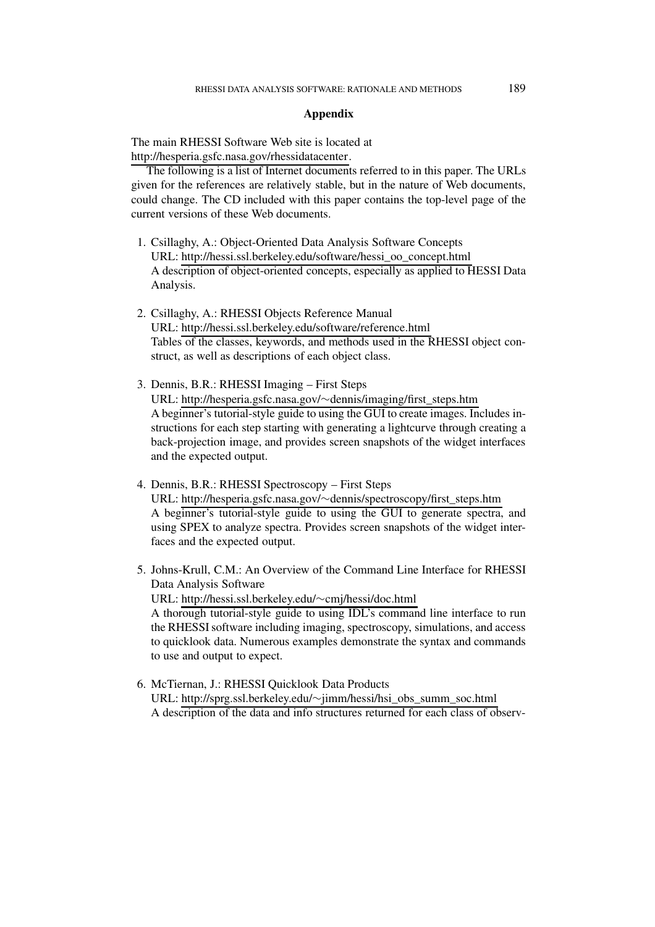## **Appendix**

The main RHESSI Software Web site is located at http://hesperia.gsfc.nasa.gov/rhessidatacenter.

The following is a list of Internet documents referred to in this paper. The URLs given for the references are relatively stable, but in the nature of Web documents, could change. The CD included with this paper contains the top-level page of the current versions of these Web documents.

- 1. Csillaghy, A.: Object-Oriented Data Analysis Software Concepts URL: http://hessi.ssl.berkeley.edu/software/hessi\_oo\_concept.html A description of object-oriented concepts, especially as applied to HESSI Data Analysis.
- 2. Csillaghy, A.: RHESSI Objects Reference Manual URL: http://hessi.ssl.berkeley.edu/software/reference.html Tables of the classes, keywords, and methods used in the RHESSI object construct, as well as descriptions of each object class.
- 3. Dennis, B.R.: RHESSI Imaging First Steps URL: http://hesperia.gsfc.nasa.gov/∼dennis/imaging/first\_steps.htm A beginner's tutorial-style guide to using the GUI to create images. Includes instructions for each step starting with generating a lightcurve through creating a back-projection image, and provides screen snapshots of the widget interfaces and the expected output.
- 4. Dennis, B.R.: RHESSI Spectroscopy First Steps URL: http://hesperia.gsfc.nasa.gov/∼dennis/spectroscopy/first\_steps.htm A beginner's tutorial-style guide to using the GUI to generate spectra, and using SPEX to analyze spectra. Provides screen snapshots of the widget interfaces and the expected output.
- 5. Johns-Krull, C.M.: An Overview of the Command Line Interface for RHESSI Data Analysis Software URL: http://hessi.ssl.berkeley.edu/∼cmj/hessi/doc.html A thorough tutorial-style guide to using IDL's command line interface to run the RHESSI software including imaging, spectroscopy, simulations, and access to quicklook data. Numerous examples demonstrate the syntax and commands to use and output to expect.
- 6. McTiernan, J.: RHESSI Quicklook Data Products URL: http://sprg.ssl.berkeley.edu/∼jimm/hessi/hsi\_obs\_summ\_soc.html A description of the data and info structures returned for each class of observ-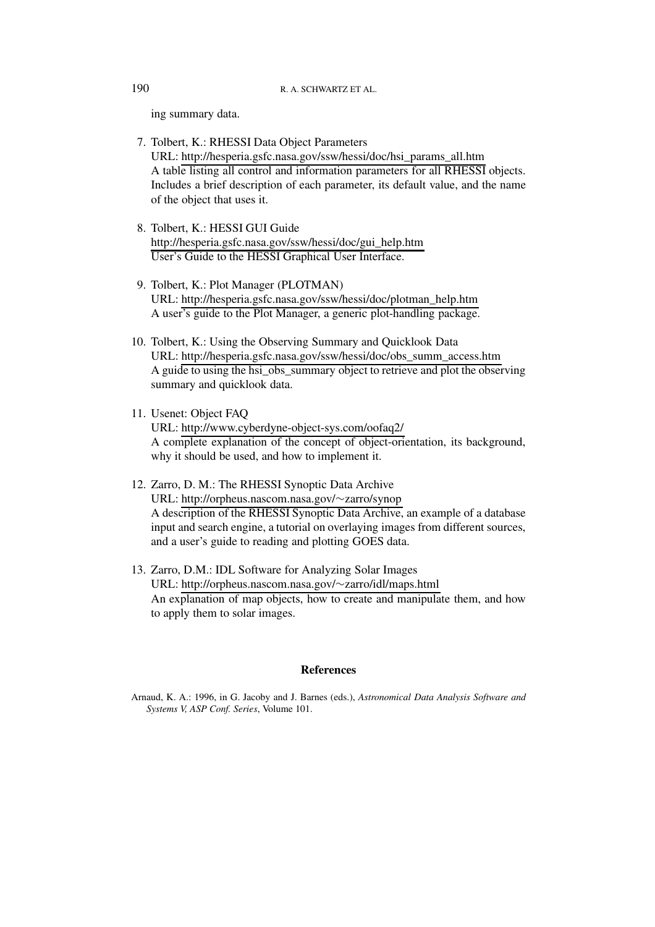ing summary data.

- 7. Tolbert, K.: RHESSI Data Object Parameters URL: http://hesperia.gsfc.nasa.gov/ssw/hessi/doc/hsi\_params\_all.htm A table listing all control and information parameters for all RHESSI objects. Includes a brief description of each parameter, its default value, and the name of the object that uses it.
- 8. Tolbert, K.: HESSI GUI Guide http://hesperia.gsfc.nasa.gov/ssw/hessi/doc/gui\_help.htm User's Guide to the HESSI Graphical User Interface.
- 9. Tolbert, K.: Plot Manager (PLOTMAN) URL: http://hesperia.gsfc.nasa.gov/ssw/hessi/doc/plotman\_help.htm A user's guide to the Plot Manager, a generic plot-handling package.
- 10. Tolbert, K.: Using the Observing Summary and Quicklook Data URL: http://hesperia.gsfc.nasa.gov/ssw/hessi/doc/obs\_summ\_access.htm A guide to using the hsi\_obs\_summary object to retrieve and plot the observing summary and quicklook data.

## 11. Usenet: Object FAQ URL: http://www.cyberdyne-object-sys.com/oofaq2/ A complete explanation of the concept of object-orientation, its background, why it should be used, and how to implement it.

- 12. Zarro, D. M.: The RHESSI Synoptic Data Archive URL: http://orpheus.nascom.nasa.gov/∼zarro/synop A description of the RHESSI Synoptic Data Archive, an example of a database input and search engine, a tutorial on overlaying images from different sources, and a user's guide to reading and plotting GOES data.
- 13. Zarro, D.M.: IDL Software for Analyzing Solar Images URL: http://orpheus.nascom.nasa.gov/∼zarro/idl/maps.html An explanation of map objects, how to create and manipulate them, and how to apply them to solar images.

## **References**

Arnaud, K. A.: 1996, in G. Jacoby and J. Barnes (eds.), *Astronomical Data Analysis Software and Systems V, ASP Conf. Series*, Volume 101.